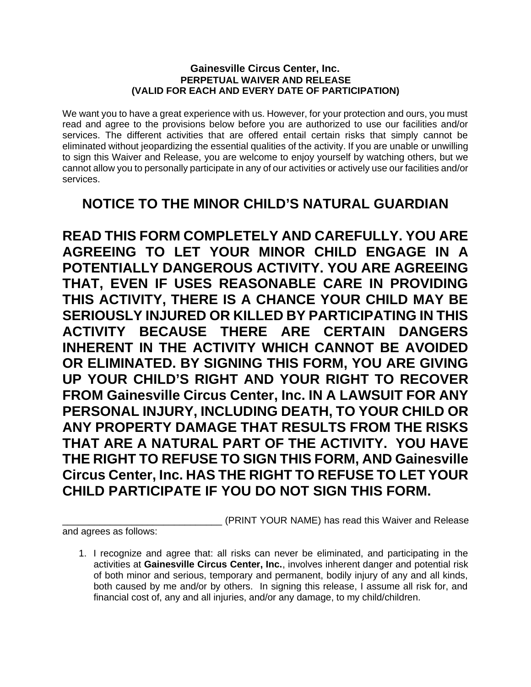## **Gainesville Circus Center, Inc. PERPETUAL WAIVER AND RELEASE (VALID FOR EACH AND EVERY DATE OF PARTICIPATION)**

We want you to have a great experience with us. However, for your protection and ours, you must read and agree to the provisions below before you are authorized to use our facilities and/or services. The different activities that are offered entail certain risks that simply cannot be eliminated without jeopardizing the essential qualities of the activity. If you are unable or unwilling to sign this Waiver and Release, you are welcome to enjoy yourself by watching others, but we cannot allow you to personally participate in any of our activities or actively use our facilities and/or services.

## **NOTICE TO THE MINOR CHILD'S NATURAL GUARDIAN**

**READ THIS FORM COMPLETELY AND CAREFULLY. YOU ARE AGREEING TO LET YOUR MINOR CHILD ENGAGE IN A POTENTIALLY DANGEROUS ACTIVITY. YOU ARE AGREEING THAT, EVEN IF USES REASONABLE CARE IN PROVIDING THIS ACTIVITY, THERE IS A CHANCE YOUR CHILD MAY BE SERIOUSLY INJURED OR KILLED BY PARTICIPATING IN THIS ACTIVITY BECAUSE THERE ARE CERTAIN DANGERS INHERENT IN THE ACTIVITY WHICH CANNOT BE AVOIDED OR ELIMINATED. BY SIGNING THIS FORM, YOU ARE GIVING UP YOUR CHILD'S RIGHT AND YOUR RIGHT TO RECOVER FROM Gainesville Circus Center, Inc. IN A LAWSUIT FOR ANY PERSONAL INJURY, INCLUDING DEATH, TO YOUR CHILD OR ANY PROPERTY DAMAGE THAT RESULTS FROM THE RISKS THAT ARE A NATURAL PART OF THE ACTIVITY. YOU HAVE THE RIGHT TO REFUSE TO SIGN THIS FORM, AND Gainesville Circus Center, Inc. HAS THE RIGHT TO REFUSE TO LET YOUR CHILD PARTICIPATE IF YOU DO NOT SIGN THIS FORM.** 

\_\_\_\_\_\_\_\_\_\_\_\_\_\_\_\_\_\_\_\_\_\_\_\_\_\_\_\_\_\_ (PRINT YOUR NAME) has read this Waiver and Release

and agrees as follows:

<sup>1.</sup> I recognize and agree that: all risks can never be eliminated, and participating in the activities at **Gainesville Circus Center, Inc.**, involves inherent danger and potential risk of both minor and serious, temporary and permanent, bodily injury of any and all kinds, both caused by me and/or by others. In signing this release, I assume all risk for, and financial cost of, any and all injuries, and/or any damage, to my child/children.